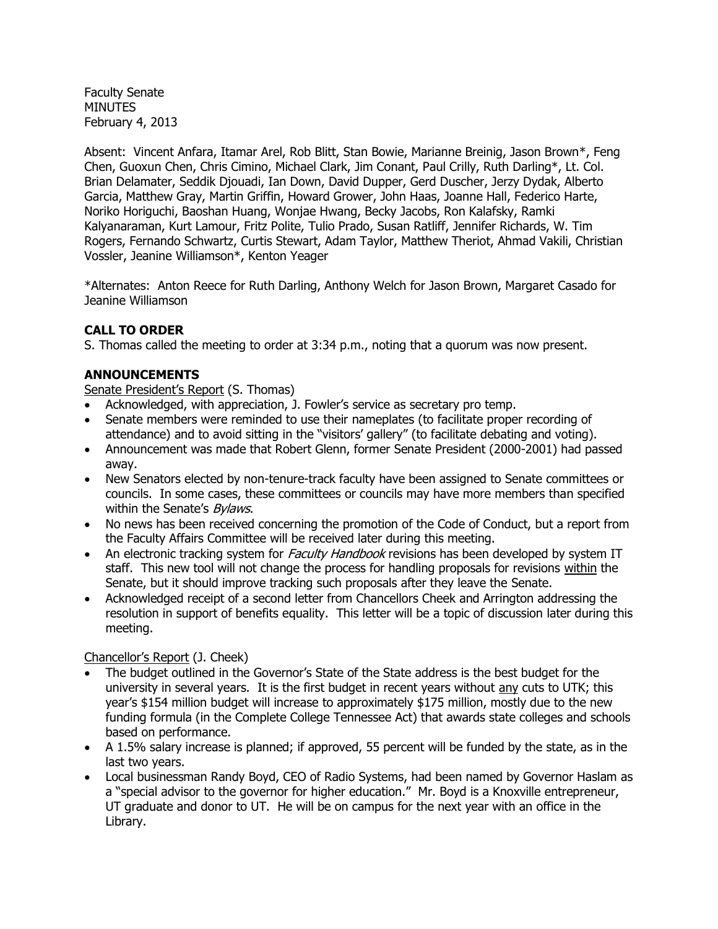Faculty Senate MINUTES February 4, 2013

Absent: Vincent Anfara, Itamar Arel, Rob Blitt, Stan Bowie, Marianne Breinig, Jason Brown\*, Feng Chen, Guoxun Chen, Chris Cimino, Michael Clark, Jim Conant, Paul Crilly, Ruth Darling\*, Lt. Col. Brian Delamater, Seddik Djouadi, Ian Down, David Dupper, Gerd Duscher, Jerzy Dydak, Alberto Garcia, Matthew Gray, Martin Griffin, Howard Grower, John Haas, Joanne Hall, Federico Harte, Noriko Horiguchi, Baoshan Huang, Wonjae Hwang, Becky Jacobs, Ron Kalafsky, Ramki Kalyanaraman, Kurt Lamour, Fritz Polite, Tulio Prado, Susan Ratliff, Jennifer Richards, W. Tim Rogers, Fernando Schwartz, Curtis Stewart, Adam Taylor, Matthew Theriot, Ahmad Vakili, Christian Vossler, Jeanine Williamson\*, Kenton Yeager

\*Alternates: Anton Reece for Ruth Darling, Anthony Welch for Jason Brown, Margaret Casado for Jeanine Williamson

# **CALL TO ORDER**

S. Thomas called the meeting to order at 3:34 p.m., noting that a quorum was now present.

# **ANNOUNCEMENTS**

Senate President's Report (S. Thomas)

- Acknowledged, with appreciation, J. Fowler's service as secretary pro temp.
- Senate members were reminded to use their nameplates (to facilitate proper recording of attendance) and to avoid sitting in the "visitors' gallery" (to facilitate debating and voting).
- Announcement was made that Robert Glenn, former Senate President (2000-2001) had passed away.
- New Senators elected by non-tenure-track faculty have been assigned to Senate committees or councils. In some cases, these committees or councils may have more members than specified within the Senate's **Bylaws**.
- No news has been received concerning the promotion of the Code of Conduct, but a report from the Faculty Affairs Committee will be received later during this meeting.
- An electronic tracking system for *Faculty Handbook* revisions has been developed by system IT staff. This new tool will not change the process for handling proposals for revisions within the Senate, but it should improve tracking such proposals after they leave the Senate.
- Acknowledged receipt of a second letter from Chancellors Cheek and Arrington addressing the resolution in support of benefits equality. This letter will be a topic of discussion later during this meeting.

Chancellor's Report (J. Cheek)

- The budget outlined in the Governor's State of the State address is the best budget for the university in several years. It is the first budget in recent years without any cuts to UTK; this year's \$154 million budget will increase to approximately \$175 million, mostly due to the new funding formula (in the Complete College Tennessee Act) that awards state colleges and schools based on performance.
- A 1.5% salary increase is planned; if approved, 55 percent will be funded by the state, as in the last two years.
- Local businessman Randy Boyd, CEO of Radio Systems, had been named by Governor Haslam as a "special advisor to the governor for higher education." Mr. Boyd is a Knoxville entrepreneur, UT graduate and donor to UT. He will be on campus for the next year with an office in the Library.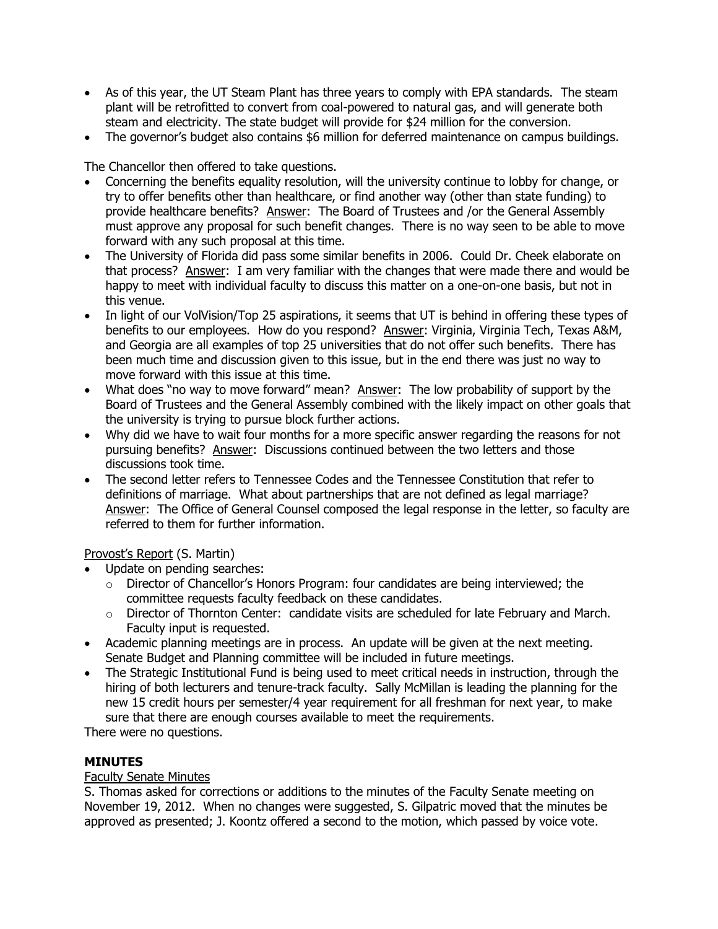- As of this year, the UT Steam Plant has three years to comply with EPA standards. The steam plant will be retrofitted to convert from coal-powered to natural gas, and will generate both steam and electricity. The state budget will provide for \$24 million for the conversion.
- The governor's budget also contains \$6 million for deferred maintenance on campus buildings.

The Chancellor then offered to take questions.

- Concerning the benefits equality resolution, will the university continue to lobby for change, or try to offer benefits other than healthcare, or find another way (other than state funding) to provide healthcare benefits? Answer: The Board of Trustees and /or the General Assembly must approve any proposal for such benefit changes. There is no way seen to be able to move forward with any such proposal at this time.
- The University of Florida did pass some similar benefits in 2006. Could Dr. Cheek elaborate on that process? Answer: I am very familiar with the changes that were made there and would be happy to meet with individual faculty to discuss this matter on a one-on-one basis, but not in this venue.
- In light of our VolVision/Top 25 aspirations, it seems that UT is behind in offering these types of benefits to our employees. How do you respond? Answer: Virginia, Virginia Tech, Texas A&M, and Georgia are all examples of top 25 universities that do not offer such benefits. There has been much time and discussion given to this issue, but in the end there was just no way to move forward with this issue at this time.
- What does "no way to move forward" mean? Answer: The low probability of support by the Board of Trustees and the General Assembly combined with the likely impact on other goals that the university is trying to pursue block further actions.
- Why did we have to wait four months for a more specific answer regarding the reasons for not pursuing benefits? Answer: Discussions continued between the two letters and those discussions took time.
- The second letter refers to Tennessee Codes and the Tennessee Constitution that refer to definitions of marriage. What about partnerships that are not defined as legal marriage? Answer: The Office of General Counsel composed the legal response in the letter, so faculty are referred to them for further information.

Provost's Report (S. Martin)

- Update on pending searches:
	- $\circ$  Director of Chancellor's Honors Program: four candidates are being interviewed; the committee requests faculty feedback on these candidates.
	- o Director of Thornton Center: candidate visits are scheduled for late February and March. Faculty input is requested.
- Academic planning meetings are in process. An update will be given at the next meeting. Senate Budget and Planning committee will be included in future meetings.
- The Strategic Institutional Fund is being used to meet critical needs in instruction, through the hiring of both lecturers and tenure-track faculty. Sally McMillan is leading the planning for the new 15 credit hours per semester/4 year requirement for all freshman for next year, to make sure that there are enough courses available to meet the requirements.

There were no questions.

# **MINUTES**

# Faculty Senate Minutes

S. Thomas asked for corrections or additions to the minutes of the Faculty Senate meeting on November 19, 2012. When no changes were suggested, S. Gilpatric moved that the minutes be approved as presented; J. Koontz offered a second to the motion, which passed by voice vote.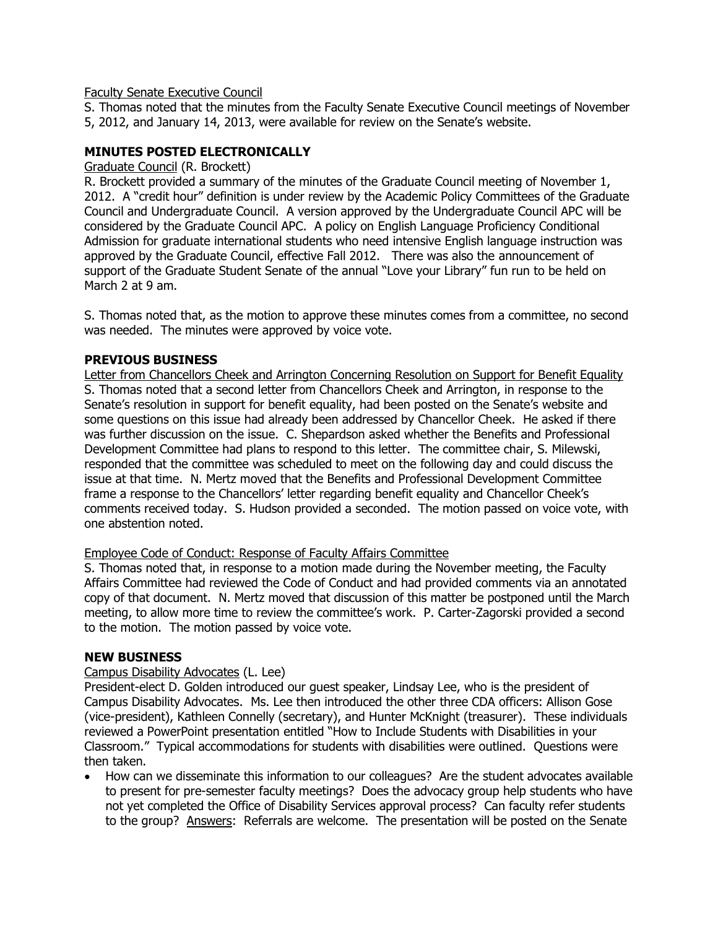### Faculty Senate Executive Council

S. Thomas noted that the minutes from the Faculty Senate Executive Council meetings of November 5, 2012, and January 14, 2013, were available for review on the Senate's website.

# **MINUTES POSTED ELECTRONICALLY**

Graduate Council (R. Brockett)

R. Brockett provided a summary of the minutes of the Graduate Council meeting of November 1, 2012. A "credit hour" definition is under review by the Academic Policy Committees of the Graduate Council and Undergraduate Council. A version approved by the Undergraduate Council APC will be considered by the Graduate Council APC. A policy on English Language Proficiency Conditional Admission for graduate international students who need intensive English language instruction was approved by the Graduate Council, effective Fall 2012. There was also the announcement of support of the Graduate Student Senate of the annual "Love your Library" fun run to be held on March 2 at 9 am.

S. Thomas noted that, as the motion to approve these minutes comes from a committee, no second was needed. The minutes were approved by voice vote.

# **PREVIOUS BUSINESS**

Letter from Chancellors Cheek and Arrington Concerning Resolution on Support for Benefit Equality S. Thomas noted that a second letter from Chancellors Cheek and Arrington, in response to the Senate's resolution in support for benefit equality, had been posted on the Senate's website and some questions on this issue had already been addressed by Chancellor Cheek. He asked if there was further discussion on the issue. C. Shepardson asked whether the Benefits and Professional Development Committee had plans to respond to this letter. The committee chair, S. Milewski, responded that the committee was scheduled to meet on the following day and could discuss the issue at that time. N. Mertz moved that the Benefits and Professional Development Committee frame a response to the Chancellors' letter regarding benefit equality and Chancellor Cheek's comments received today. S. Hudson provided a seconded. The motion passed on voice vote, with one abstention noted.

#### Employee Code of Conduct: Response of Faculty Affairs Committee

S. Thomas noted that, in response to a motion made during the November meeting, the Faculty Affairs Committee had reviewed the Code of Conduct and had provided comments via an annotated copy of that document. N. Mertz moved that discussion of this matter be postponed until the March meeting, to allow more time to review the committee's work. P. Carter-Zagorski provided a second to the motion. The motion passed by voice vote.

#### **NEW BUSINESS**

#### Campus Disability Advocates (L. Lee)

President-elect D. Golden introduced our guest speaker, Lindsay Lee, who is the president of Campus Disability Advocates. Ms. Lee then introduced the other three CDA officers: Allison Gose (vice-president), Kathleen Connelly (secretary), and Hunter McKnight (treasurer). These individuals reviewed a PowerPoint presentation entitled "How to Include Students with Disabilities in your Classroom." Typical accommodations for students with disabilities were outlined. Questions were then taken.

 How can we disseminate this information to our colleagues? Are the student advocates available to present for pre-semester faculty meetings? Does the advocacy group help students who have not yet completed the Office of Disability Services approval process? Can faculty refer students to the group? Answers: Referrals are welcome. The presentation will be posted on the Senate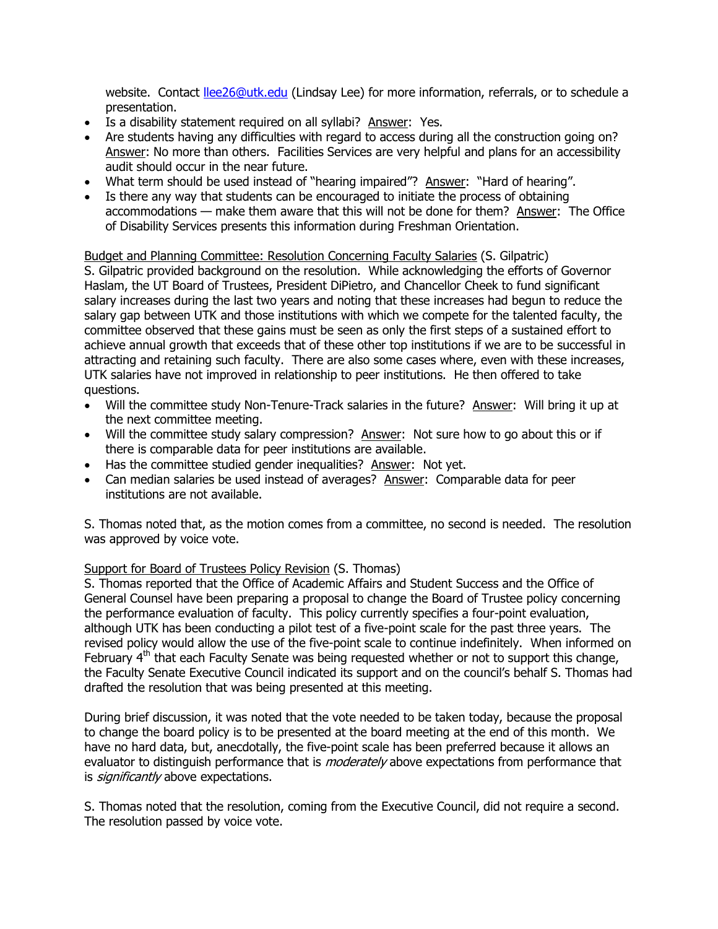website. Contact [llee26@utk.edu](mailto:llee26@utk.edu) (Lindsay Lee) for more information, referrals, or to schedule a presentation.

- Is a disability statement required on all syllabi? Answer: Yes.
- Are students having any difficulties with regard to access during all the construction going on? Answer: No more than others. Facilities Services are very helpful and plans for an accessibility audit should occur in the near future.
- What term should be used instead of "hearing impaired"? Answer: "Hard of hearing".
- Is there any way that students can be encouraged to initiate the process of obtaining accommodations — make them aware that this will not be done for them? Answer: The Office of Disability Services presents this information during Freshman Orientation.

## Budget and Planning Committee: Resolution Concerning Faculty Salaries (S. Gilpatric)

S. Gilpatric provided background on the resolution. While acknowledging the efforts of Governor Haslam, the UT Board of Trustees, President DiPietro, and Chancellor Cheek to fund significant salary increases during the last two years and noting that these increases had begun to reduce the salary gap between UTK and those institutions with which we compete for the talented faculty, the committee observed that these gains must be seen as only the first steps of a sustained effort to achieve annual growth that exceeds that of these other top institutions if we are to be successful in attracting and retaining such faculty. There are also some cases where, even with these increases, UTK salaries have not improved in relationship to peer institutions. He then offered to take questions.

- Will the committee study Non-Tenure-Track salaries in the future? Answer: Will bring it up at the next committee meeting.
- Will the committee study salary compression? Answer: Not sure how to go about this or if there is comparable data for peer institutions are available.
- Has the committee studied gender inequalities? Answer: Not yet.
- Can median salaries be used instead of averages? Answer: Comparable data for peer institutions are not available.

S. Thomas noted that, as the motion comes from a committee, no second is needed. The resolution was approved by voice vote.

# Support for Board of Trustees Policy Revision (S. Thomas)

S. Thomas reported that the Office of Academic Affairs and Student Success and the Office of General Counsel have been preparing a proposal to change the Board of Trustee policy concerning the performance evaluation of faculty. This policy currently specifies a four-point evaluation, although UTK has been conducting a pilot test of a five-point scale for the past three years. The revised policy would allow the use of the five-point scale to continue indefinitely. When informed on February  $4<sup>th</sup>$  that each Faculty Senate was being requested whether or not to support this change, the Faculty Senate Executive Council indicated its support and on the council's behalf S. Thomas had drafted the resolution that was being presented at this meeting.

During brief discussion, it was noted that the vote needed to be taken today, because the proposal to change the board policy is to be presented at the board meeting at the end of this month. We have no hard data, but, anecdotally, the five-point scale has been preferred because it allows an evaluator to distinguish performance that is *moderately* above expectations from performance that is *significantly* above expectations.

S. Thomas noted that the resolution, coming from the Executive Council, did not require a second. The resolution passed by voice vote.